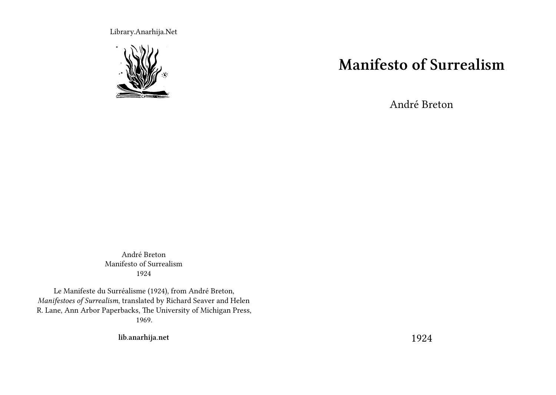Library.Anarhija.Net



## **Manifesto of Surrealism**

André Breton

André Breton Manifesto of Surrealism 1924

Le Manifeste du Surréalisme (1924), from André Breton, *Manifestoes of Surrealism*, translated by Richard Seaver and Helen R. Lane, Ann Arbor Paperbacks, The University of Michigan Press, 1969.

**lib.anarhija.net**

1924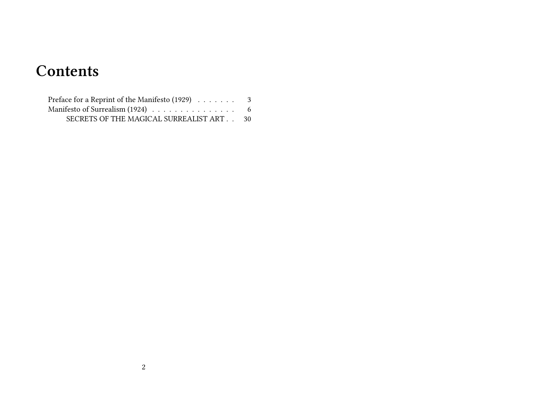# **Contents**

| Preface for a Reprint of the Manifesto (1929) 3 |  |
|-------------------------------------------------|--|
|                                                 |  |
| SECRETS OF THE MAGICAL SURREALIST ART 30        |  |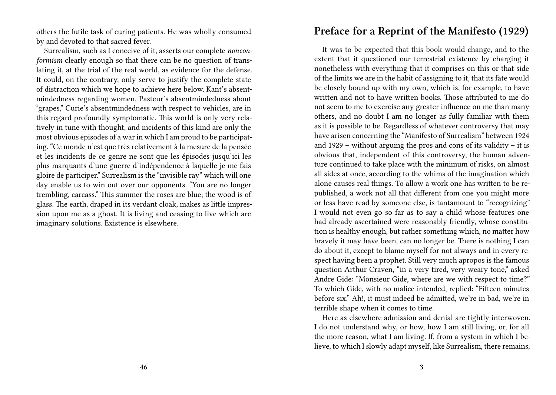others the futile task of curing patients. He was wholly consumed by and devoted to that sacred fever.

Surrealism, such as I conceive of it, asserts our complete *nonconformism* clearly enough so that there can be no question of translating it, at the trial of the real world, as evidence for the defense. It could, on the contrary, only serve to justify the complete state of distraction which we hope to achieve here below. Kant's absentmindedness regarding women, Pasteur's absentmindedness about "grapes," Curie's absentmindedness with respect to vehicles, are in this regard profoundly symptomatic. This world is only very relatively in tune with thought, and incidents of this kind are only the most obvious episodes of a war in which I am proud to be participating. "Ce monde n'est que très relativement à la mesure de la pensée et les incidents de ce genre ne sont que les épisodes jusqu'ici les plus marquants d'une guerre d'indépendence à laquelle je me fais gloire de participer." Surrealism is the "invisible ray" which will one day enable us to win out over our opponents. "You are no longer trembling, carcass." This summer the roses are blue; the wood is of glass. The earth, draped in its verdant cloak, makes as little impression upon me as a ghost. It is living and ceasing to live which are imaginary solutions. Existence is elsewhere.

### **Preface for a Reprint of the Manifesto (1929)**

It was to be expected that this book would change, and to the extent that it questioned our terrestrial existence by charging it nonetheless with everything that it comprises on this or that side of the limits we are in the habit of assigning to it, that its fate would be closely bound up with my own, which is, for example, to have written and not to have written books. Those attributed to me do not seem to me to exercise any greater influence on me than many others, and no doubt I am no longer as fully familiar with them as it is possible to be. Regardless of whatever controversy that may have arisen concerning the "Manifesto of Surrealism" between 1924 and 1929 – without arguing the pros and cons of its validity – it is obvious that, independent of this controversy, the human adventure continued to take place with the minimum of risks, on almost all sides at once, according to the whims of the imagination which alone causes real things. To allow a work one has written to be republished, a work not all that different from one you might more or less have read by someone else, is tantamount to "recognizing" I would not even go so far as to say a child whose features one had already ascertained were reasonably friendly, whose constitution is healthy enough, but rather something which, no matter how bravely it may have been, can no longer be. There is nothing I can do about it, except to blame myself for not always and in every respect having been a prophet. Still very much apropos is the famous question Arthur Craven, "in a very tired, very weary tone," asked Andre Gide: "Monsieur Gide, where are we with respect to time?" To which Gide, with no malice intended, replied: "Fifteen minutes before six." Ah!, it must indeed be admitted, we're in bad, we're in terrible shape when it comes to time.

Here as elsewhere admission and denial are tightly interwoven. I do not understand why, or how, how I am still living, or, for all the more reason, what I am living. If, from a system in which I believe, to which I slowly adapt myself, like Surrealism, there remains,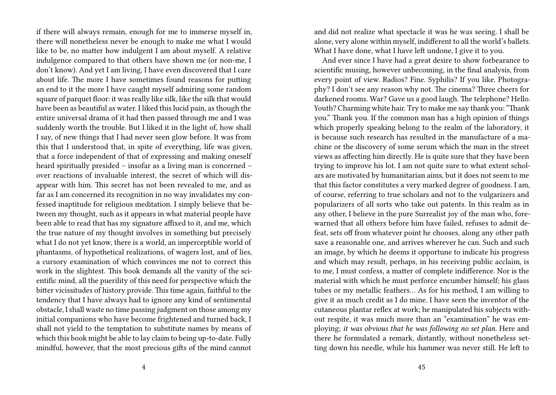if there will always remain, enough for me to immerse myself in, there will nonetheless never be enough to make me what I would like to be, no matter how indulgent I am about myself. A relative indulgence compared to that others have shown me (or non-me, I don't know). And yet I am living, I have even discovered that I care about life. The more I have sometimes found reasons for putting an end to it the more I have caught myself admiring some random square of parquet floor: it was really like silk, like the silk that would have been as beautiful as water. I liked this lucid pain, as though the entire universal drama of it had then passed through me and I was suddenly worth the trouble. But I liked it in the light of, how shall I say, of new things that I had never seen glow before. It was from this that I understood that, in spite of everything, life was given, that a force independent of that of expressing and making oneself heard spiritually presided – insofar as a living man is concerned – over reactions of invaluable interest, the secret of which will disappear with him. This secret has not been revealed to me, and as far as I am concerned its recognition in no way invalidates my confessed inaptitude for religious meditation. I simply believe that between my thought, such as it appears in what material people have been able to read that has my signature affixed to it, and me, which the true nature of my thought involves in something but precisely what I do not yet know, there is a world, an imperceptible world of phantasms, of hypothetical realizations, of wagers lost, and of lies, a cursory examination of which convinces me not to correct this work in the slightest. This book demands all the vanity of the scientific mind, all the puerility of this need for perspective which the bitter vicissitudes of history provide. This time again, faithful to the tendency that I have always had to ignore any kind of sentimental obstacle, I shall waste no time passing judgment on those among my initial companions who have become frightened and turned back, I shall not yield to the temptation to substitute names by means of which this book might be able to lay claim to being up-to-date. Fully mindful, however, that the most precious gifts of the mind cannot

and did not realize what spectacle it was he was seeing. I shall be alone, very alone within myself, indifferent to all the world's ballets. What I have done, what I have left undone, I give it to you.

And ever since I have had a great desire to show forbearance to scientific musing, however unbecoming, in the final analysis, from every point of view. Radios? Fine. Syphilis? If you like. Photography? I don't see any reason why not. The cinema? Three cheers for darkened rooms. War? Gave us a good laugh. The telephone? Hello. Youth? Charming white hair. Try to make me say thank you: "Thank you." Thank you. If the common man has a high opinion of things which properly speaking belong to the realm of the laboratory, it is because such research has resulted in the manufacture of a machine or the discovery of some serum which the man in the street views as affecting him directly. He is quite sure that they have been trying to improve his lot. I am not quite sure to what extent scholars are motivated by humanitarian aims, but it does not seem to me that this factor constitutes a very marked degree of goodness. I am, of course, referring to true scholars and not to the vulgarizers and popularizers of all sorts who take out patents. In this realm as in any other, I believe in the pure Surrealist joy of the man who, forewarned that all others before him have failed, refuses to admit defeat, sets off from whatever point he chooses, along any other path save a reasonable one, and arrives wherever he can. Such and such an image, by which he deems it opportune to indicate his progress and which may result, perhaps, in his receiving public acclaim, is to me, I must confess, a matter of complete indifference. Nor is the material with which he must perforce encumber himself; his glass tubes or my metallic feathers… As for his method, I am willing to give it as much credit as I do mine. I have seen the inventor of the cutaneous plantar reflex at work; he manipulated his subjects without respite, it was much more than an "examination" he was employing; *it was obvious that he was following no set plan.* Here and there he formulated a remark, distantly, without nonetheless setting down his needle, while his hammer was never still. He left to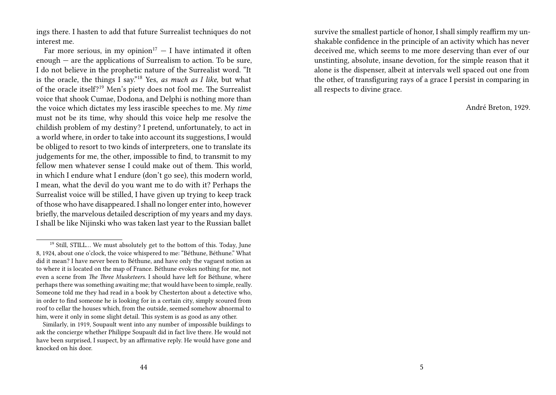ings there. I hasten to add that future Surrealist techniques do not interest me.

Far more serious, in my opinion<sup>17</sup> – I have intimated it often enough — are the applications of Surrealism to action. To be sure, I do not believe in the prophetic nature of the Surrealist word. "It is the oracle, the things I say."<sup>18</sup> Yes, *as much as I like,* but what of the oracle itself?<sup>19</sup> Men's piety does not fool me. The Surrealist voice that shook Cumae, Dodona, and Delphi is nothing more than the voice which dictates my less irascible speeches to me. My *time* must not be its time, why should this voice help me resolve the childish problem of my destiny? I pretend, unfortunately, to act in a world where, in order to take into account its suggestions, I would be obliged to resort to two kinds of interpreters, one to translate its judgements for me, the other, impossible to find, to transmit to my fellow men whatever sense I could make out of them. This world, in which I endure what I endure (don't go see), this modern world, I mean, what the devil do you want me to do with it? Perhaps the Surrealist voice will be stilled, I have given up trying to keep track of those who have disappeared. I shall no longer enter into, however briefly, the marvelous detailed description of my years and my days. I shall be like Nijinski who was taken last year to the Russian ballet

survive the smallest particle of honor, I shall simply reaffirm my unshakable confidence in the principle of an activity which has never deceived me, which seems to me more deserving than ever of our unstinting, absolute, insane devotion, for the simple reason that it alone is the dispenser, albeit at intervals well spaced out one from the other, of transfiguring rays of a grace I persist in comparing in all respects to divine grace.

André Breton, 1929.

<sup>19</sup> Still, STILL… We must absolutely get to the bottom of this. Today, June 8, 1924, about one o'clock, the voice whispered to me: "Béthune, Béthune." What did it mean? I have never been to Béthune, and have only the vaguest notion as to where it is located on the map of France. Béthune evokes nothing for me, not even a scene from *The Three Musketeers.* I should have left for Béthune, where perhaps there was something awaiting me; that would have been to simple, really. Someone told me they had read in a book by Chesterton about a detective who, in order to find someone he is looking for in a certain city, simply scoured from roof to cellar the houses which, from the outside, seemed somehow abnormal to him, were it only in some slight detail. This system is as good as any other.

Similarly, in 1919, Soupault went into any number of impossible buildings to ask the concierge whether Philippe Soupault did in fact live there. He would not have been surprised, I suspect, by an affirmative reply. He would have gone and knocked on his door.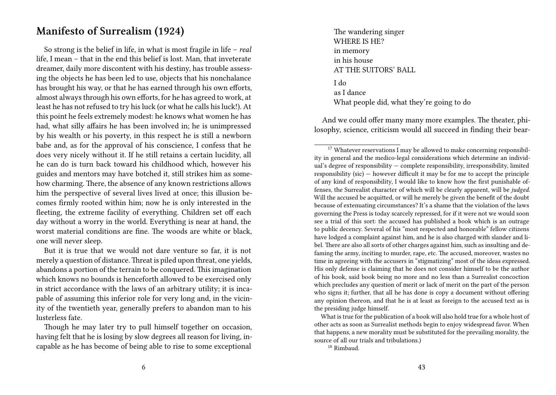## **Manifesto of Surrealism (1924)**

So strong is the belief in life, in what is most fragile in life – *real* life, I mean – that in the end this belief is lost. Man, that inveterate dreamer, daily more discontent with his destiny, has trouble assessing the objects he has been led to use, objects that his nonchalance has brought his way, or that he has earned through his own efforts, almost always through his own efforts, for he has agreed to work, at least he has not refused to try his luck (or what he calls his luck!). At this point he feels extremely modest: he knows what women he has had, what silly affairs he has been involved in; he is unimpressed by his wealth or his poverty, in this respect he is still a newborn babe and, as for the approval of his conscience, I confess that he does very nicely without it. If he still retains a certain lucidity, all he can do is turn back toward his childhood which, however his guides and mentors may have botched it, still strikes him as somehow charming. There, the absence of any known restrictions allows him the perspective of several lives lived at once; this illusion becomes firmly rooted within him; now he is only interested in the fleeting, the extreme facility of everything. Children set off each day without a worry in the world. Everything is near at hand, the worst material conditions are fine. The woods are white or black, one will never sleep.

But it is true that we would not dare venture so far, it is not merely a question of distance. Threat is piled upon threat, one yields, abandons a portion of the terrain to be conquered. This imagination which knows no bounds is henceforth allowed to be exercised only in strict accordance with the laws of an arbitrary utility; it is incapable of assuming this inferior role for very long and, in the vicinity of the twentieth year, generally prefers to abandon man to his lusterless fate.

Though he may later try to pull himself together on occasion, having felt that he is losing by slow degrees all reason for living, incapable as he has become of being able to rise to some exceptional

The wandering singer WHERE IS HE? in memory in his house AT THE SUITORS' BALL I do as I dance What people did, what they're going to do

And we could offer many many more examples. The theater, philosophy, science, criticism would all succeed in finding their bear-

What is true for the publication of a book will also hold true for a whole host of other acts as soon as Surrealist methods begin to enjoy widespread favor. When that happens, a new morality must be substituted for the prevailing morality, the source of all our trials and tribulations.)

<sup>18</sup> Rimbaud.

 $17$  Whatever reservations I may be allowed to make concerning responsibility in general and the medico-legal considerations which determine an individual's degree of responsibility — complete responsibility, irresponsibility, limited responsibility  $(sic)$  – however difficult it may be for me to accept the principle of any kind of responsibility, I would like to know how the first punishable offenses, the Surrealist character of which will be clearly apparent, will be *judged.* Will the accused be acquitted, or will he merely be given the benefit of the doubt because of extenuating circumstances? It's a shame that the violation of the laws governing the Press is today scarcely repressed, for if it were not we would soon see a trial of this sort: the accused has published a book which is an outrage to public decency. Several of his "most respected and honorable" fellow citizens have lodged a complaint against him, and he is also charged with slander and libel. There are also all sorts of other charges against him, such as insulting and defaming the army, inciting to murder, rape, etc. The accused, moreover, wastes no time in agreeing with the accusers in "stigmatizing" most of the ideas expressed. His only defense is claiming that he does not consider himself to be the author of his book, said book being no more and no less than a Surrealist concoction which precludes any question of merit or lack of merit on the part of the person who signs it; further, that all he has done is copy a document without offering any opinion thereon, and that he is at least as foreign to the accused text as is the presiding judge himself.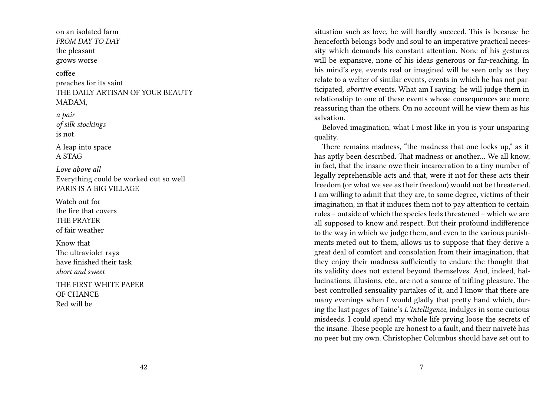on an isolated farm *FROM DAY TO DAY* the pleasant grows worse

coffee

preaches for its saint THE DAILY ARTISAN OF YOUR BEAUTY MADAM,

*a pair of silk stockings* is not

A leap into space A STAG

*Love above all* Everything could be worked out so well PARIS IS A BIG VILLAGE

Watch out for the fire that covers THE PRAYER of fair weather

Know that The ultraviolet rays have finished their task *short and sweet*

THE FIRST WHITE PAPER OF CHANCE Red will be

situation such as love, he will hardly succeed. This is because he henceforth belongs body and soul to an imperative practical necessity which demands his constant attention. None of his gestures will be expansive, none of his ideas generous or far-reaching. In his mind's eye, events real or imagined will be seen only as they relate to a welter of similar events, events in which he has not participated, *abortive* events. What am I saying: he will judge them in relationship to one of these events whose consequences are more reassuring than the others. On no account will he view them as his salvation.

Beloved imagination, what I most like in you is your unsparing quality.

There remains madness, "the madness that one locks up," as it has aptly been described. That madness or another… We all know, in fact, that the insane owe their incarceration to a tiny number of legally reprehensible acts and that, were it not for these acts their freedom (or what we see as their freedom) would not be threatened. I am willing to admit that they are, to some degree, victims of their imagination, in that it induces them not to pay attention to certain rules – outside of which the species feels threatened – which we are all supposed to know and respect. But their profound indifference to the way in which we judge them, and even to the various punishments meted out to them, allows us to suppose that they derive a great deal of comfort and consolation from their imagination, that they enjoy their madness sufficiently to endure the thought that its validity does not extend beyond themselves. And, indeed, hallucinations, illusions, etc., are not a source of trifling pleasure. The best controlled sensuality partakes of it, and I know that there are many evenings when I would gladly that pretty hand which, during the last pages of Taine's *L'Intelligence,* indulges in some curious misdeeds. I could spend my whole life prying loose the secrets of the insane. These people are honest to a fault, and their naiveté has no peer but my own. Christopher Columbus should have set out to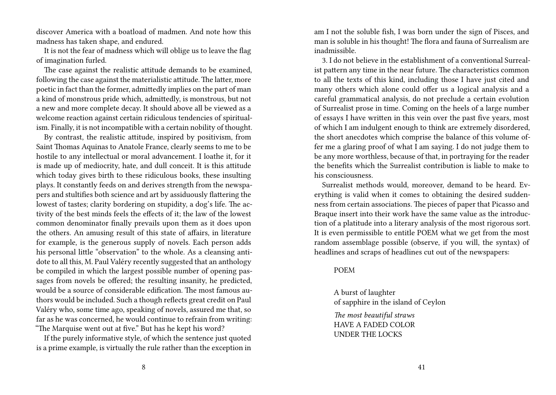discover America with a boatload of madmen. And note how this madness has taken shape, and endured.

It is not the fear of madness which will oblige us to leave the flag of imagination furled.

The case against the realistic attitude demands to be examined, following the case against the materialistic attitude. The latter, more poetic in fact than the former, admittedly implies on the part of man a kind of monstrous pride which, admittedly, is monstrous, but not a new and more complete decay. It should above all be viewed as a welcome reaction against certain ridiculous tendencies of spiritualism. Finally, it is not incompatible with a certain nobility of thought.

By contrast, the realistic attitude, inspired by positivism, from Saint Thomas Aquinas to Anatole France, clearly seems to me to be hostile to any intellectual or moral advancement. I loathe it, for it is made up of mediocrity, hate, and dull conceit. It is this attitude which today gives birth to these ridiculous books, these insulting plays. It constantly feeds on and derives strength from the newspapers and stultifies both science and art by assiduously flattering the lowest of tastes; clarity bordering on stupidity, a dog's life. The activity of the best minds feels the effects of it; the law of the lowest common denominator finally prevails upon them as it does upon the others. An amusing result of this state of affairs, in literature for example, is the generous supply of novels. Each person adds his personal little "observation" to the whole. As a cleansing antidote to all this, M. Paul Valéry recently suggested that an anthology be compiled in which the largest possible number of opening passages from novels be offered; the resulting insanity, he predicted, would be a source of considerable edification. The most famous authors would be included. Such a though reflects great credit on Paul Valéry who, some time ago, speaking of novels, assured me that, so far as he was concerned, he would continue to refrain from writing: "The Marquise went out at five." But has he kept his word?

If the purely informative style, of which the sentence just quoted is a prime example, is virtually the rule rather than the exception in

am I not the soluble fish, I was born under the sign of Pisces, and man is soluble in his thought! The flora and fauna of Surrealism are inadmissible.

3. I do not believe in the establishment of a conventional Surrealist pattern any time in the near future. The characteristics common to all the texts of this kind, including those I have just cited and many others which alone could offer us a logical analysis and a careful grammatical analysis, do not preclude a certain evolution of Surrealist prose in time. Coming on the heels of a large number of essays I have written in this vein over the past five years, most of which I am indulgent enough to think are extremely disordered, the short anecdotes which comprise the balance of this volume offer me a glaring proof of what I am saying. I do not judge them to be any more worthless, because of that, in portraying for the reader the benefits which the Surrealist contribution is liable to make to his consciousness.

Surrealist methods would, moreover, demand to be heard. Everything is valid when it comes to obtaining the desired suddenness from certain associations. The pieces of paper that Picasso and Braque insert into their work have the same value as the introduction of a platitude into a literary analysis of the most rigorous sort. It is even permissible to entitle POEM what we get from the most random assemblage possible (observe, if you will, the syntax) of headlines and scraps of headlines cut out of the newspapers:

POEM

A burst of laughter of sapphire in the island of Ceylon

*The most beautiful straws* HAVE A FADED COLOR UNDER THE LOCKS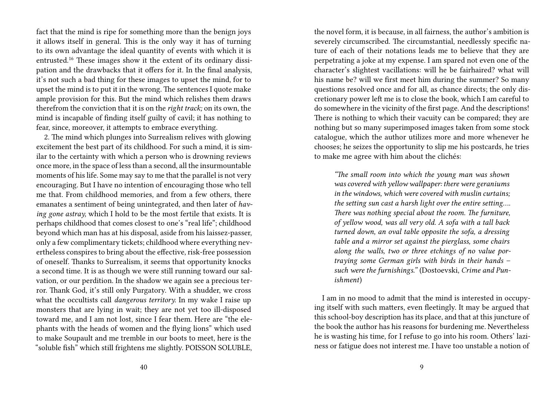fact that the mind is ripe for something more than the benign joys it allows itself in general. This is the only way it has of turning to its own advantage the ideal quantity of events with which it is entrusted.<sup>16</sup> These images show it the extent of its ordinary dissipation and the drawbacks that it offers for it. In the final analysis, it's not such a bad thing for these images to upset the mind, for to upset the mind is to put it in the wrong. The sentences I quote make ample provision for this. But the mind which relishes them draws therefrom the conviction that it is on the *right track;* on its own, the mind is incapable of finding itself guilty of cavil; it has nothing to fear, since, moreover, it attempts to embrace everything.

2. The mind which plunges into Surrealism relives with glowing excitement the best part of its childhood. For such a mind, it is similar to the certainty with which a person who is drowning reviews once more, in the space of less than a second, all the insurmountable moments of his life. Some may say to me that the parallel is not very encouraging. But I have no intention of encouraging those who tell me that. From childhood memories, and from a few others, there emanates a sentiment of being unintegrated, and then later of *having gone astray,* which I hold to be the most fertile that exists. It is perhaps childhood that comes closest to one's "real life"; childhood beyond which man has at his disposal, aside from his laissez-passer, only a few complimentary tickets; childhood where everything nevertheless conspires to bring about the effective, risk-free possession of oneself. Thanks to Surrealism, it seems that opportunity knocks a second time. It is as though we were still running toward our salvation, or our perdition. In the shadow we again see a precious terror. Thank God, it's still only Purgatory. With a shudder, we cross what the occultists call *dangerous territory.* In my wake I raise up monsters that are lying in wait; they are not yet too ill-disposed toward me, and I am not lost, since I fear them. Here are "the elephants with the heads of women and the flying lions" which used to make Soupault and me tremble in our boots to meet, here is the "soluble fish" which still frightens me slightly. POISSON SOLUBLE,

the novel form, it is because, in all fairness, the author's ambition is severely circumscribed. The circumstantial, needlessly specific nature of each of their notations leads me to believe that they are perpetrating a joke at my expense. I am spared not even one of the character's slightest vacillations: will he be fairhaired? what will his name be? will we first meet him during the summer? So many questions resolved once and for all, as chance directs; the only discretionary power left me is to close the book, which I am careful to do somewhere in the vicinity of the first page. And the descriptions! There is nothing to which their vacuity can be compared; they are nothing but so many superimposed images taken from some stock catalogue, which the author utilizes more and more whenever he chooses; he seizes the opportunity to slip me his postcards, he tries to make me agree with him about the clichés:

*"The small room into which the young man was shown was covered with yellow wallpaper: there were geraniums in the windows, which were covered with muslin curtains; the setting sun cast a harsh light over the entire setting…. There was nothing special about the room. The furniture, of yellow wood, was all very old. A sofa with a tall back turned down, an oval table opposite the sofa, a dressing table and a mirror set against the pierglass, some chairs along the walls, two or three etchings of no value portraying some German girls with birds in their hands – such were the furnishings."* (Dostoevski, *Crime and Punishment*)

I am in no mood to admit that the mind is interested in occupying itself with such matters, even fleetingly. It may be argued that this school-boy description has its place, and that at this juncture of the book the author has his reasons for burdening me. Nevertheless he is wasting his time, for I refuse to go into his room. Others' laziness or fatigue does not interest me. I have too unstable a notion of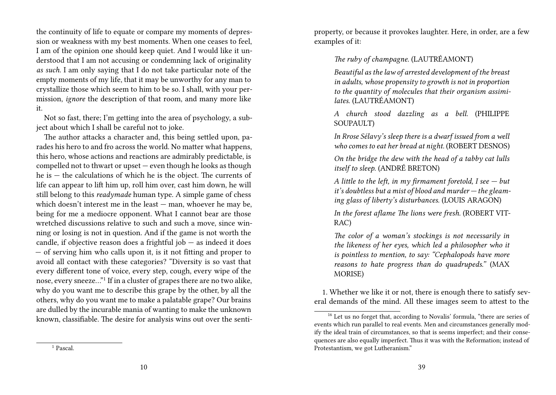the continuity of life to equate or compare my moments of depression or weakness with my best moments. When one ceases to feel, I am of the opinion one should keep quiet. And I would like it understood that I am not accusing or condemning lack of originality *as such.* I am only saying that I do not take particular note of the empty moments of my life, that it may be unworthy for any man to crystallize those which seem to him to be so. I shall, with your permission, *ignore* the description of that room, and many more like it.

Not so fast, there; I'm getting into the area of psychology, a subject about which I shall be careful not to joke.

The author attacks a character and, this being settled upon, parades his hero to and fro across the world. No matter what happens, this hero, whose actions and reactions are admirably predictable, is compelled not to thwart or upset — even though he looks as though he is — the calculations of which he is the object. The currents of life can appear to lift him up, roll him over, cast him down, he will still belong to this *readymade* human type. A simple game of chess which doesn't interest me in the least — man, whoever he may be, being for me a mediocre opponent. What I cannot bear are those wretched discussions relative to such and such a move, since winning or losing is not in question. And if the game is not worth the candle, if objective reason does a frightful job  $-$  as indeed it does — of serving him who calls upon it, is it not fitting and proper to avoid all contact with these categories? "Diversity is so vast that every different tone of voice, every step, cough, every wipe of the nose, every sneeze…"<sup>1</sup> If in a cluster of grapes there are no two alike, why do you want me to describe this grape by the other, by all the others, why do you want me to make a palatable grape? Our brains are dulled by the incurable mania of wanting to make the unknown known, classifiable. The desire for analysis wins out over the sentiproperty, or because it provokes laughter. Here, in order, are a few examples of it:

*The ruby of champagne.* (LAUTRÉAMONT)

*Beautiful as the law of arrested development of the breast in adults, whose propensity to growth is not in proportion to the quantity of molecules that their organism assimilates.* (LAUTRÉAMONT)

*A church stood dazzling as a bell.* (PHILIPPE SOUPAULT)

*In Rrose Sélavy's sleep there is a dwarf issued from a well who comes to eat her bread at night.* (ROBERT DESNOS)

*On the bridge the dew with the head of a tabby cat lulls itself to sleep.* (ANDRÉ BRETON)

*A little to the left, in my firmament foretold, I see — but it's doubtless but a mist of blood and murder — the gleaming glass of liberty's disturbances.* (LOUIS ARAGON)

*In the forest aflame The lions were fresh.* (ROBERT VIT-RAC)

*The color of a woman's stockings is not necessarily in the likeness of her eyes, which led a philosopher who it is pointless to mention, to say: "Cephalopods have more reasons to hate progress than do quadrupeds."* (MAX MORISE)

1. Whether we like it or not, there is enough there to satisfy several demands of the mind. All these images seem to attest to the

<sup>16</sup> Let us no forget that, according to Novalis' formula, "there are series of events which run parallel to real events. Men and circumstances generally modify the ideal train of circumstances, so that is seems imperfect; and their consequences are also equally imperfect. Thus it was with the Reformation; instead of Protestantism, we got Lutheranism."

<sup>1</sup> Pascal.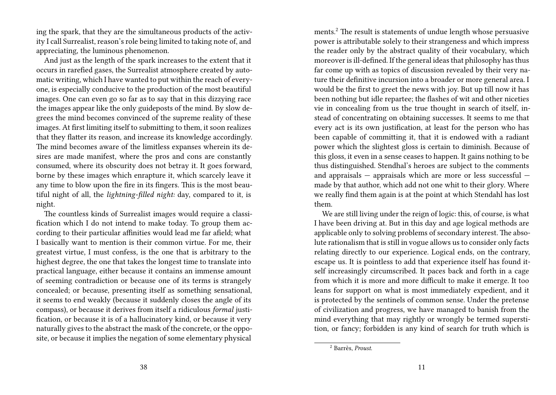ing the spark, that they are the simultaneous products of the activity I call Surrealist, reason's role being limited to taking note of, and appreciating, the luminous phenomenon.

And just as the length of the spark increases to the extent that it occurs in rarefied gases, the Surrealist atmosphere created by automatic writing, which I have wanted to put within the reach of everyone, is especially conducive to the production of the most beautiful images. One can even go so far as to say that in this dizzying race the images appear like the only guideposts of the mind. By slow degrees the mind becomes convinced of the supreme reality of these images. At first limiting itself to submitting to them, it soon realizes that they flatter its reason, and increase its knowledge accordingly. The mind becomes aware of the limitless expanses wherein its desires are made manifest, where the pros and cons are constantly consumed, where its obscurity does not betray it. It goes forward, borne by these images which enrapture it, which scarcely leave it any time to blow upon the fire in its fingers. This is the most beautiful night of all, the *lightning-filled night:* day, compared to it, is night.

The countless kinds of Surrealist images would require a classification which I do not intend to make today. To group them according to their particular affinities would lead me far afield; what I basically want to mention is their common virtue. For me, their greatest virtue, I must confess, is the one that is arbitrary to the highest degree, the one that takes the longest time to translate into practical language, either because it contains an immense amount of seeming contradiction or because one of its terms is strangely concealed; or because, presenting itself as something sensational, it seems to end weakly (because it suddenly closes the angle of its compass), or because it derives from itself a ridiculous *formal* justification, or because it is of a hallucinatory kind, or because it very naturally gives to the abstract the mask of the concrete, or the opposite, or because it implies the negation of some elementary physical

ments.<sup>2</sup> The result is statements of undue length whose persuasive power is attributable solely to their strangeness and which impress the reader only by the abstract quality of their vocabulary, which moreover is ill-defined. If the general ideas that philosophy has thus far come up with as topics of discussion revealed by their very nature their definitive incursion into a broader or more general area. I would be the first to greet the news with joy. But up till now it has been nothing but idle repartee; the flashes of wit and other niceties vie in concealing from us the true thought in search of itself, instead of concentrating on obtaining successes. It seems to me that every act is its own justification, at least for the person who has been capable of committing it, that it is endowed with a radiant power which the slightest gloss is certain to diminish. Because of this gloss, it even in a sense ceases to happen. It gains nothing to be thus distinguished. Stendhal's heroes are subject to the comments and appraisals — appraisals which are more or less successful made by that author, which add not one whit to their glory. Where we really find them again is at the point at which Stendahl has lost them.

We are still living under the reign of logic: this, of course, is what I have been driving at. But in this day and age logical methods are applicable only to solving problems of secondary interest. The absolute rationalism that is still in vogue allows us to consider only facts relating directly to our experience. Logical ends, on the contrary, escape us. It is pointless to add that experience itself has found itself increasingly circumscribed. It paces back and forth in a cage from which it is more and more difficult to make it emerge. It too leans for support on what is most immediately expedient, and it is protected by the sentinels of common sense. Under the pretense of civilization and progress, we have managed to banish from the mind everything that may rightly or wrongly be termed superstition, or fancy; forbidden is any kind of search for truth which is

<sup>2</sup> Barrès, *Proust.*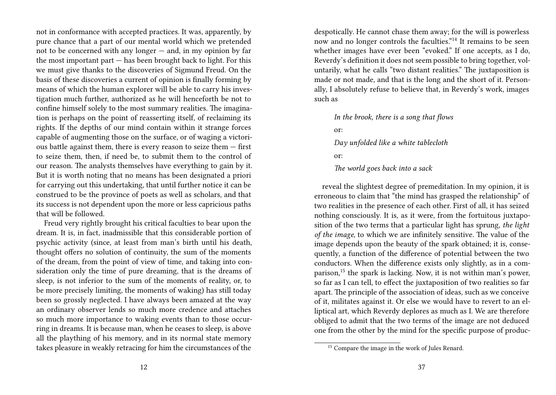not in conformance with accepted practices. It was, apparently, by pure chance that a part of our mental world which we pretended not to be concerned with any longer  $-$  and, in my opinion by far the most important part — has been brought back to light. For this we must give thanks to the discoveries of Sigmund Freud. On the basis of these discoveries a current of opinion is finally forming by means of which the human explorer will be able to carry his investigation much further, authorized as he will henceforth be not to confine himself solely to the most summary realities. The imagination is perhaps on the point of reasserting itself, of reclaiming its rights. If the depths of our mind contain within it strange forces capable of augmenting those on the surface, or of waging a victorious battle against them, there is every reason to seize them — first to seize them, then, if need be, to submit them to the control of our reason. The analysts themselves have everything to gain by it. But it is worth noting that no means has been designated a priori for carrying out this undertaking, that until further notice it can be construed to be the province of poets as well as scholars, and that its success is not dependent upon the more or less capricious paths that will be followed.

Freud very rightly brought his critical faculties to bear upon the dream. It is, in fact, inadmissible that this considerable portion of psychic activity (since, at least from man's birth until his death, thought offers no solution of continuity, the sum of the moments of the dream, from the point of view of time, and taking into consideration only the time of pure dreaming, that is the dreams of sleep, is not inferior to the sum of the moments of reality, or, to be more precisely limiting, the moments of waking) has still today been so grossly neglected. I have always been amazed at the way an ordinary observer lends so much more credence and attaches so much more importance to waking events than to those occurring in dreams. It is because man, when he ceases to sleep, is above all the plaything of his memory, and in its normal state memory takes pleasure in weakly retracing for him the circumstances of the

despotically. He cannot chase them away; for the will is powerless now and no longer controls the faculties."<sup>14</sup> It remains to be seen whether images have ever been "evoked." If one accepts, as I do, Reverdy's definition it does not seem possible to bring together, voluntarily, what he calls "two distant realities." The juxtaposition is made or not made, and that is the long and the short of it. Personally, I absolutely refuse to believe that, in Reverdy's work, images such as

*In the brook, there is a song that flows*

or:

*Day unfolded like a white tablecloth*

or:

*The world goes back into a sack*

reveal the slightest degree of premeditation. In my opinion, it is erroneous to claim that "the mind has grasped the relationship" of two realities in the presence of each other. First of all, it has seized nothing consciously. It is, as it were, from the fortuitous juxtaposition of the two terms that a particular light has sprung, *the light of the image,* to which we are infinitely sensitive. The value of the image depends upon the beauty of the spark obtained; it is, consequently, a function of the difference of potential between the two conductors. When the difference exists only slightly, as in a comparison, $15$  the spark is lacking. Now, it is not within man's power, so far as I can tell, to effect the juxtaposition of two realities so far apart. The principle of the association of ideas, such as we conceive of it, militates against it. Or else we would have to revert to an elliptical art, which Reverdy deplores as much as I. We are therefore obliged to admit that the two terms of the image are not deduced one from the other by the mind for the specific purpose of produc-

<sup>&</sup>lt;sup>15</sup> Compare the image in the work of Jules Renard.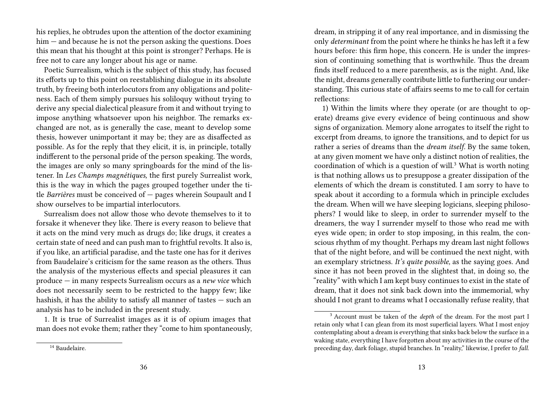his replies, he obtrudes upon the attention of the doctor examining him — and because he is not the person asking the questions. Does this mean that his thought at this point is stronger? Perhaps. He is free not to care any longer about his age or name.

Poetic Surrealism, which is the subject of this study, has focused its efforts up to this point on reestablishing dialogue in its absolute truth, by freeing both interlocutors from any obligations and politeness. Each of them simply pursues his soliloquy without trying to derive any special dialectical pleasure from it and without trying to impose anything whatsoever upon his neighbor. The remarks exchanged are not, as is generally the case, meant to develop some thesis, however unimportant it may be; they are as disaffected as possible. As for the reply that they elicit, it is, in principle, totally indifferent to the personal pride of the person speaking. The words, the images are only so many springboards for the mind of the listener. In *Les Champs magnétiques,* the first purely Surrealist work, this is the way in which the pages grouped together under the title *Barrières* must be conceived of — pages wherein Soupault and I show ourselves to be impartial interlocutors.

Surrealism does not allow those who devote themselves to it to forsake it whenever they like. There is every reason to believe that it acts on the mind very much as drugs do; like drugs, it creates a certain state of need and can push man to frightful revolts. It also is, if you like, an artificial paradise, and the taste one has for it derives from Baudelaire's criticism for the same reason as the others. Thus the analysis of the mysterious effects and special pleasures it can produce — in many respects Surrealism occurs as a *new vice* which does not necessarily seem to be restricted to the happy few; like hashish, it has the ability to satisfy all manner of tastes — such an analysis has to be included in the present study.

1. It is true of Surrealist images as it is of opium images that man does not evoke them; rather they "come to him spontaneously, dream, in stripping it of any real importance, and in dismissing the only *determinant* from the point where he thinks he has left it a few hours before: this firm hope, this concern. He is under the impression of continuing something that is worthwhile. Thus the dream finds itself reduced to a mere parenthesis, as is the night. And, like the night, dreams generally contribute little to furthering our understanding. This curious state of affairs seems to me to call for certain reflections:

1) Within the limits where they operate (or are thought to operate) dreams give every evidence of being continuous and show signs of organization. Memory alone arrogates to itself the right to excerpt from dreams, to ignore the transitions, and to depict for us rather a series of dreams than the *dream itself.* By the same token, at any given moment we have only a distinct notion of realities, the coordination of which is a question of will.<sup>3</sup> What is worth noting is that nothing allows us to presuppose a greater dissipation of the elements of which the dream is constituted. I am sorry to have to speak about it according to a formula which in principle excludes the dream. When will we have sleeping logicians, sleeping philosophers? I would like to sleep, in order to surrender myself to the dreamers, the way I surrender myself to those who read me with eyes wide open; in order to stop imposing, in this realm, the conscious rhythm of my thought. Perhaps my dream last night follows that of the night before, and will be continued the next night, with an exemplary strictness. *It's quite possible,* as the saying goes. And since it has not been proved in the slightest that, in doing so, the "reality" with which I am kept busy continues to exist in the state of dream, that it does not sink back down into the immemorial, why should I not grant to dreams what I occasionally refuse reality, that

<sup>3</sup> Account must be taken of the *depth* of the dream. For the most part I retain only what I can glean from its most superficial layers. What I most enjoy contemplating about a dream is everything that sinks back below the surface in a waking state, everything I have forgotten about my activities in the course of the preceding day, dark foliage, stupid branches. In "reality," likewise, I prefer to *fall.*

<sup>14</sup> Baudelaire.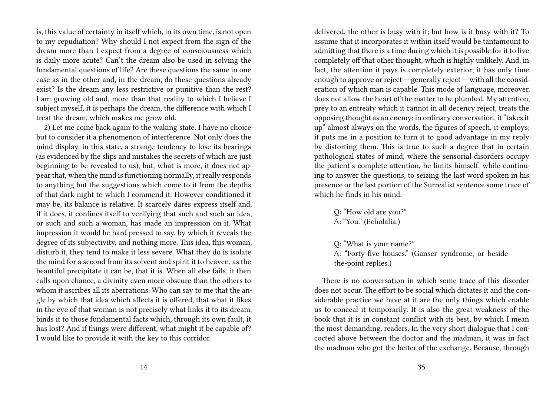is, this value of certainty in itself which, in its own time, is not open to my repudiation? Why should I not expect from the sign of the dream more than I expect from a degree of consciousness which is daily more acute? Can't the dream also be used in solving the fundamental questions of life? Are these questions the same in one case as in the other and, in the dream, do these questions already exist? Is the dream any less restrictive or punitive than the rest? I am growing old and, more than that reality to which I believe I subject myself, it is perhaps the dream, the difference with which I treat the dream, which makes me grow old.

2) Let me come back again to the waking state. I have no choice but to consider it a phenomenon of interference. Not only does the mind display, in this state, a strange tendency to lose its bearings (as evidenced by the slips and mistakes the secrets of which are just beginning to be revealed to us), but, what is more, it does not appear that, when the mind is functioning normally, it really responds to anything but the suggestions which come to it from the depths of that dark night to which I commend it. However conditioned it may be, its balance is relative. It scarcely dares express itself and, if it does, it confines itself to verifying that such and such an idea, or such and such a woman, has made an impression on it. What impression it would be hard pressed to say, by which it reveals the degree of its subjectivity, and nothing more. This idea, this woman, disturb it, they tend to make it less severe. What they do is isolate the mind for a second from its solvent and spirit it to heaven, as the beautiful precipitate it can be, that it is. When all else fails, it then calls upon chance, a divinity even more obscure than the others to whom it ascribes all its aberrations. Who can say to me that the angle by which that idea which affects it is offered, that what it likes in the eye of that woman is not precisely what links it to its dream, binds it to those fundamental facts which, through its own fault, it has lost? And if things were different, what might it be capable of? I would like to provide it with the key to this corridor.

delivered, the other is busy with it; but how is it busy with it? To assume that it incorporates it within itself would be tantamount to admitting that there is a time during which it is possible for it to live completely off that other thought, which is highly unlikely. And, in fact, the attention it pays is completely exterior; it has only time enough to approve or reject  $-$  generally reject  $-$  with all the consideration of which man is capable. This mode of language, moreover, does not allow the heart of the matter to be plumbed. My attention, prey to an entreaty which it cannot in all decency reject, treats the opposing thought as an enemy; in ordinary conversation, it "takes it up" almost always on the words, the figures of speech, it employs; it puts me in a position to turn it to good advantage in my reply by distorting them. This is true to such a degree that in certain pathological states of mind, where the sensorial disorders occupy the patient's complete attention, he limits himself, while continuing to answer the questions, to seizing the last word spoken in his presence or the last portion of the Surrealist sentence some trace of which he finds in his mind.

Q: "How old are you?" A: "You." (Echolalia.)

Q: "What is your name?" A: "Forty-five houses." (Ganser syndrome, or besidethe-point replies.)

There is no conversation in which some trace of this disorder does not occur. The effort to be social which dictates it and the considerable practice we have at it are the only things which enable us to conceal it temporarily. It is also the great weakness of the book that it is in constant conflict with its best, by which I mean the most demanding, readers. In the very short dialogue that I concocted above between the doctor and the madman, it was in fact the madman who got the better of the exchange. Because, through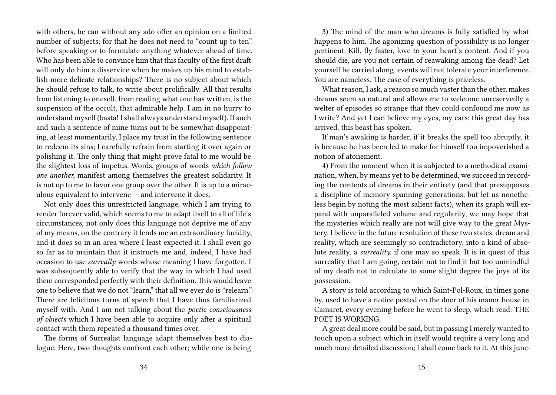with others, he can without any ado offer an opinion on a limited number of subjects; for that he does not need to "count up to ten" before speaking or to formulate anything whatever ahead of time. Who has been able to convince him that this faculty of the first draft will only do him a disservice when he makes up his mind to establish more delicate relationships? There is no subject about which he should refuse to talk, to write about prolifically. All that results from listening to oneself, from reading what one has written, is the suspension of the occult, that admirable help. I am in no hurry to understand myself (basta! I shall always understand myself). If such and such a sentence of mine turns out to be somewhat disappointing, at least momentarily, I place my trust in the following sentence to redeem its sins; I carefully refrain from starting it over again or polishing it. The only thing that might prove fatal to me would be the slightest loss of impetus. Words, groups of words *which follow one another,* manifest among themselves the greatest solidarity. It is not up to me to favor one group over the other. It is up to a miraculous equivalent to intervene — and intervene it does.

Not only does this unrestricted language, which I am trying to render forever valid, which seems to me to adapt itself to all of life's circumstances, not only does this language not deprive me of any of my means, on the contrary it lends me an extraordinary lucidity, and it does so in an area where I least expected it. I shall even go so far as to maintain that it instructs me and, indeed, I have had occasion to use *surreally* words whose meaning I have forgotten. I was subsequently able to verify that the way in which I had used them corresponded perfectly with their definition. This would leave one to believe that we do not "learn," that all we ever do is "relearn." There are felicitous turns of speech that I have thus familiarized myself with. And I am not talking about the *poetic consciousness of objects* which I have been able to acquire only after a spiritual contact with them repeated a thousand times over.

The forms of Surrealist language adapt themselves best to dialogue. Here, two thoughts confront each other; while one is being

3) The mind of the man who dreams is fully satisfied by what happens to him. The agonizing question of possibility is no longer pertinent. Kill, fly faster, love to your heart's content. And if you should die, are you not certain of reawaking among the dead? Let yourself be carried along, events will not tolerate your interference. You are nameless. The ease of everything is priceless.

What reason, I ask, a reason so much vaster than the other, makes dreams seem so natural and allows me to welcome unreservedly a welter of episodes so strange that they could confound me now as I write? And yet I can believe my eyes, my ears; this great day has arrived, this beast has spoken.

If man's awaking is harder, if it breaks the spell too abruptly, it is because he has been led to make for himself too impoverished a notion of atonement.

4) From the moment when it is subjected to a methodical examination, when, by means yet to be determined, we succeed in recording the contents of dreams in their entirety (and that presupposes a discipline of memory spanning generations; but let us nonetheless begin by noting the most salient facts), when its graph will expand with unparalleled volume and regularity, we may hope that the mysteries which really are not will give way to the great Mystery. I believe in the future resolution of these two states, dream and reality, which are seemingly so contradictory, into a kind of absolute reality, a *surreality,* if one may so speak. It is in quest of this surreality that I am going, certain not to find it but too unmindful of my death not to calculate to some slight degree the joys of its possession.

A story is told according to which Saint-Pol-Roux, in times gone by, used to have a notice posted on the door of his manor house in Camaret, every evening before he went to sleep, which read: THE POET IS WORKING.

A great deal more could be said, but in passing I merely wanted to touch upon a subject which in itself would require a very long and much more detailed discussion; I shall come back to it. At this junc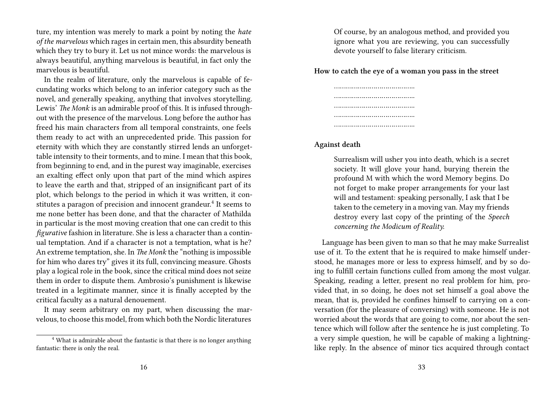ture, my intention was merely to mark a point by noting the *hate of the marvelous* which rages in certain men, this absurdity beneath which they try to bury it. Let us not mince words: the marvelous is always beautiful, anything marvelous is beautiful, in fact only the marvelous is beautiful.

In the realm of literature, only the marvelous is capable of fecundating works which belong to an inferior category such as the novel, and generally speaking, anything that involves storytelling. Lewis' *The Monk* is an admirable proof of this. It is infused throughout with the presence of the marvelous. Long before the author has freed his main characters from all temporal constraints, one feels them ready to act with an unprecedented pride. This passion for eternity with which they are constantly stirred lends an unforgettable intensity to their torments, and to mine. I mean that this book, from beginning to end, and in the purest way imaginable, exercises an exalting effect only upon that part of the mind which aspires to leave the earth and that, stripped of an insignificant part of its plot, which belongs to the period in which it was written, it constitutes a paragon of precision and innocent grandeur.<sup>4</sup> It seems to me none better has been done, and that the character of Mathilda in particular is the most moving creation that one can credit to this *figurative* fashion in literature. She is less a character than a continual temptation. And if a character is not a temptation, what is he? An extreme temptation, she. In *The Monk* the "nothing is impossible for him who dares try" gives it its full, convincing measure. Ghosts play a logical role in the book, since the critical mind does not seize them in order to dispute them. Ambrosio's punishment is likewise treated in a legitimate manner, since it is finally accepted by the critical faculty as a natural denouement.

It may seem arbitrary on my part, when discussing the marvelous, to choose this model, from which both the Nordic literatures

Of course, by an analogous method, and provided you ignore what you are reviewing, you can successfully devote yourself to false literary criticism.

**How to catch the eye of a woman you pass in the street**

………………………………….. …………………………………………… ………………………………….. …………………………………………… …………………………………..

#### **Against death**

Surrealism will usher you into death, which is a secret society. It will glove your hand, burying therein the profound M with which the word Memory begins. Do not forget to make proper arrangements for your last will and testament: speaking personally, I ask that I be taken to the cemetery in a moving van. May my friends destroy every last copy of the printing of the *Speech concerning the Modicum of Reality.*

Language has been given to man so that he may make Surrealist use of it. To the extent that he is required to make himself understood, he manages more or less to express himself, and by so doing to fulfill certain functions culled from among the most vulgar. Speaking, reading a letter, present no real problem for him, provided that, in so doing, he does not set himself a goal above the mean, that is, provided he confines himself to carrying on a conversation (for the pleasure of conversing) with someone. He is not worried about the words that are going to come, nor about the sentence which will follow after the sentence he is just completing. To a very simple question, he will be capable of making a lightninglike reply. In the absence of minor tics acquired through contact

<sup>4</sup> What is admirable about the fantastic is that there is no longer anything fantastic: there is only the real.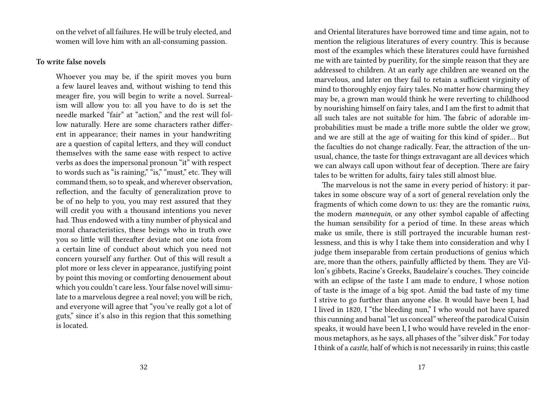on the velvet of all failures. He will be truly elected, and women will love him with an all-consuming passion.

#### **To write false novels**

Whoever you may be, if the spirit moves you burn a few laurel leaves and, without wishing to tend this meager fire, you will begin to write a novel. Surrealism will allow you to: all you have to do is set the needle marked "fair" at "action," and the rest will follow naturally. Here are some characters rather different in appearance; their names in your handwriting are a question of capital letters, and they will conduct themselves with the same ease with respect to active verbs as does the impersonal pronoun "it" with respect to words such as "is raining," "is," "must," etc. They will command them, so to speak, and wherever observation, reflection, and the faculty of generalization prove to be of no help to you, you may rest assured that they will credit you with a thousand intentions you never had. Thus endowed with a tiny number of physical and moral characteristics, these beings who in truth owe you so little will thereafter deviate not one iota from a certain line of conduct about which you need not concern yourself any further. Out of this will result a plot more or less clever in appearance, justifying point by point this moving or comforting denouement about which you couldn't care less. Your false novel will simulate to a marvelous degree a real novel; you will be rich, and everyone will agree that "you've really got a lot of guts," since it's also in this region that this something is located.

and Oriental literatures have borrowed time and time again, not to mention the religious literatures of every country. This is because most of the examples which these literatures could have furnished me with are tainted by puerility, for the simple reason that they are addressed to children. At an early age children are weaned on the marvelous, and later on they fail to retain a sufficient virginity of mind to thoroughly enjoy fairy tales. No matter how charming they may be, a grown man would think he were reverting to childhood by nourishing himself on fairy tales, and I am the first to admit that all such tales are not suitable for him. The fabric of adorable improbabilities must be made a trifle more subtle the older we grow, and we are still at the age of waiting for this kind of spider… But the faculties do not change radically. Fear, the attraction of the unusual, chance, the taste for things extravagant are all devices which we can always call upon without fear of deception. There are fairy tales to be written for adults, fairy tales still almost blue.

The marvelous is not the same in every period of history: it partakes in some obscure way of a sort of general revelation only the fragments of which come down to us: they are the romantic *ruins,* the modern *mannequin,* or any other symbol capable of affecting the human sensibility for a period of time. In these areas which make us smile, there is still portrayed the incurable human restlessness, and this is why I take them into consideration and why I judge them inseparable from certain productions of genius which are, more than the others, painfully afflicted by them. They are Villon's gibbets, Racine's Greeks, Baudelaire's couches. They coincide with an eclipse of the taste I am made to endure, I whose notion of taste is the image of a big spot. Amid the bad taste of my time I strive to go further than anyone else. It would have been I, had I lived in 1820, I "the bleeding nun," I who would not have spared this cunning and banal "let us conceal" whereof the parodical Cuisin speaks, it would have been I, I who would have reveled in the enormous metaphors, as he says, all phases of the "silver disk." For today I think of a *castle,* half of which is not necessarily in ruins; this castle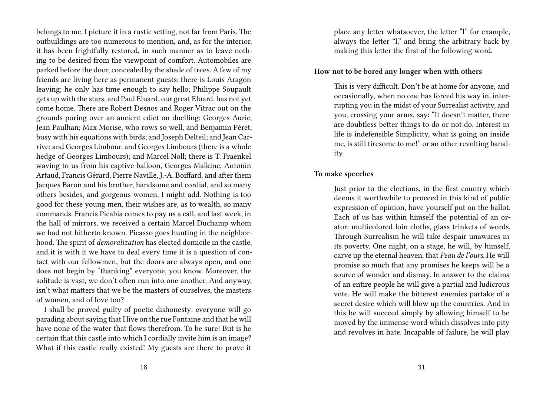belongs to me, I picture it in a rustic setting, not far from Paris. The outbuildings are too numerous to mention, and, as for the interior, it has been frightfully restored, in such manner as to leave nothing to be desired from the viewpoint of comfort. Automobiles are parked before the door, concealed by the shade of trees. A few of my friends are living here as permanent guests: there is Louis Aragon leaving; he only has time enough to say hello; Philippe Soupault gets up with the stars, and Paul Eluard, our great Eluard, has not yet come home. There are Robert Desnos and Roger Vitrac out on the grounds poring over an ancient edict on duelling; Georges Auric, Jean Paulhan; Max Morise, who rows so well, and Benjamin Péret, busy with his equations with birds; and Joseph Delteil; and Jean Carrive; and Georges Limbour, and Georges Limbours (there is a whole hedge of Georges Limbours); and Marcel Noll; there is T. Fraenkel waving to us from his captive balloon, Georges Malkine, Antonin Artaud, Francis Gérard, Pierre Naville, J.-A. Boiffard, and after them Jacques Baron and his brother, handsome and cordial, and so many others besides, and gorgeous women, I might add. Nothing is too good for these young men, their wishes are, as to wealth, so many commands. Francis Picabia comes to pay us a call, and last week, in the hall of mirrors, we received a certain Marcel Duchamp whom we had not hitherto known. Picasso goes hunting in the neighborhood. The spirit of *demoralization* has elected domicile in the castle, and it is with it we have to deal every time it is a question of contact with our fellowmen, but the doors are always open, and one does not begin by "thanking" everyone, you know. Moreover, the solitude is vast, we don't often run into one another. And anyway, isn't what matters that we be the masters of ourselves, the masters of women, and of love too?

I shall be proved guilty of poetic dishonesty: everyone will go parading about saying that I live on the rue Fontaine and that he will have none of the water that flows therefrom. To be sure! But is he certain that this castle into which I cordially invite him is an image? What if this castle really existed! My guests are there to prove it place any letter whatsoever, the letter "l" for example, always the letter "l," and bring the arbitrary back by making this letter the first of the following word.

#### **How not to be bored any longer when with others**

This is very difficult. Don't be at home for anyone, and occasionally, when no one has forced his way in, interrupting you in the midst of your Surrealist activity, and you, crossing your arms, say: "It doesn't matter, there are doubtless better things to do or not do. Interest in life is indefensible Simplicity, what is going on inside me, is still tiresome to me!" or an other revolting banality.

#### **To make speeches**

Just prior to the elections, in the first country which deems it worthwhile to proceed in this kind of public expression of opinion, have yourself put on the ballot. Each of us has within himself the potential of an orator: multicolored loin cloths, glass trinkets of words. Through Surrealism he will take despair unawares in its poverty. One night, on a stage, he will, by himself, carve up the eternal heaven, that *Peau de l'ours.* He will promise so much that any promises he keeps will be a source of wonder and dismay. In answer to the claims of an entire people he will give a partial and ludicrous vote. He will make the bitterest enemies partake of a secret desire which will blow up the countries. And in this he will succeed simply by allowing himself to be moved by the immense word which dissolves into pity and revolves in hate. Incapable of failure, he will play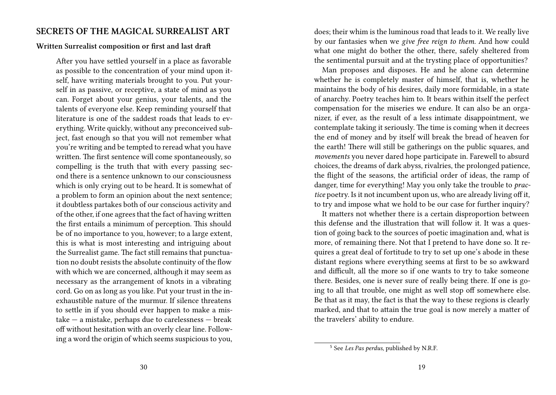### **SECRETS OF THE MAGICAL SURREALIST ART**

#### **Written Surrealist composition or first and last draft**

After you have settled yourself in a place as favorable as possible to the concentration of your mind upon itself, have writing materials brought to you. Put yourself in as passive, or receptive, a state of mind as you can. Forget about your genius, your talents, and the talents of everyone else. Keep reminding yourself that literature is one of the saddest roads that leads to everything. Write quickly, without any preconceived subject, fast enough so that you will not remember what you're writing and be tempted to reread what you have written. The first sentence will come spontaneously, so compelling is the truth that with every passing second there is a sentence unknown to our consciousness which is only crying out to be heard. It is somewhat of a problem to form an opinion about the next sentence; it doubtless partakes both of our conscious activity and of the other, if one agrees that the fact of having written the first entails a minimum of perception. This should be of no importance to you, however; to a large extent, this is what is most interesting and intriguing about the Surrealist game. The fact still remains that punctuation no doubt resists the absolute continuity of the flow with which we are concerned, although it may seem as necessary as the arrangement of knots in a vibrating cord. Go on as long as you like. Put your trust in the inexhaustible nature of the murmur. If silence threatens to settle in if you should ever happen to make a mistake — a mistake, perhaps due to carelessness — break off without hesitation with an overly clear line. Following a word the origin of which seems suspicious to you,

does; their whim is the luminous road that leads to it. We really live by our fantasies when we *give free reign to them.* And how could what one might do bother the other, there, safely sheltered from the sentimental pursuit and at the trysting place of opportunities?

Man proposes and disposes. He and he alone can determine whether he is completely master of himself, that is, whether he maintains the body of his desires, daily more formidable, in a state of anarchy. Poetry teaches him to. It bears within itself the perfect compensation for the miseries we endure. It can also be an organizer, if ever, as the result of a less intimate disappointment, we contemplate taking it seriously. The time is coming when it decrees the end of money and by itself will break the bread of heaven for the earth! There will still be gatherings on the public squares, and *movements* you never dared hope participate in. Farewell to absurd choices, the dreams of dark abyss, rivalries, the prolonged patience, the flight of the seasons, the artificial order of ideas, the ramp of danger, time for everything! May you only take the trouble to *practice* poetry. Is it not incumbent upon us, who are already living off it, to try and impose what we hold to be our case for further inquiry?

It matters not whether there is a certain disproportion between this defense and the illustration that will follow it. It was a question of going back to the sources of poetic imagination and, what is more, of remaining there. Not that I pretend to have done so. It requires a great deal of fortitude to try to set up one's abode in these distant regions where everything seems at first to be so awkward and difficult, all the more so if one wants to try to take someone there. Besides, one is never sure of really being there. If one is going to all that trouble, one might as well stop off somewhere else. Be that as it may, the fact is that the way to these regions is clearly marked, and that to attain the true goal is now merely a matter of the travelers' ability to endure.

<sup>5</sup> See *Les Pas perdus,* published by N.R.F.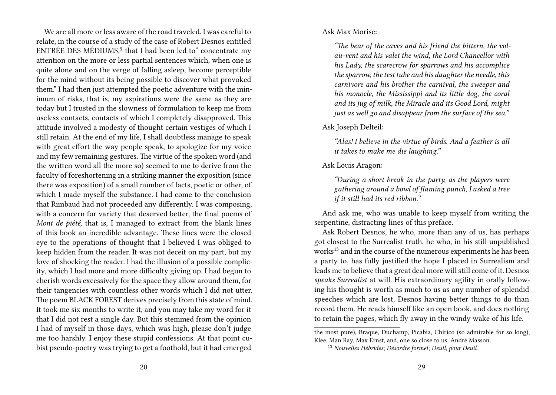We are all more or less aware of the road traveled. I was careful to relate, in the course of a study of the case of Robert Desnos entitled  $\mathop{\rm ENTR\acute{e}E}\nolimits$  DES MÉDIUMS, $^5$  that I had been led to" concentrate my attention on the more or less partial sentences which, when one is quite alone and on the verge of falling asleep, become perceptible for the mind without its being possible to discover what provoked them." I had then just attempted the poetic adventure with the minimum of risks, that is, my aspirations were the same as they are today but I trusted in the slowness of formulation to keep me from useless contacts, contacts of which I completely disapproved. This attitude involved a modesty of thought certain vestiges of which I still retain. At the end of my life, I shall doubtless manage to speak with great effort the way people speak, to apologize for my voice and my few remaining gestures. The virtue of the spoken word (and the written word all the more so) seemed to me to derive from the faculty of foreshortening in a striking manner the exposition (since there was exposition) of a small number of facts, poetic or other, of which I made myself the substance. I had come to the conclusion that Rimbaud had not proceeded any differently. I was composing, with a concern for variety that deserved better, the final poems of *Mont de piété,* that is, I managed to extract from the blank lines of this book an incredible advantage. These lines were the closed eye to the operations of thought that I believed I was obliged to keep hidden from the reader. It was not deceit on my part, but my love of shocking the reader. I had the illusion of a possible complicity, which I had more and more difficulty giving up. I had begun to cherish words excessively for the space they allow around them, for their tangencies with countless other words which I did not utter. The poem BLACK FOREST derives precisely from this state of mind. It took me six months to write it, and you may take my word for it that I did not rest a single day. But this stemmed from the opinion I had of myself in those days, which was high, please don't judge me too harshly. I enjoy these stupid confessions. At that point cubist pseudo-poetry was trying to get a foothold, but it had emerged

Ask Max Morise:

*"The bear of the caves and his friend the bittern, the volau-vent and his valet the wind, the Lord Chancellor with his Lady, the scarecrow for sparrows and his accomplice the sparrow, the test tube and his daughter the needle, this carnivore and his brother the carnival, the sweeper and his monocle, the Mississippi and its little dog, the coral and its jug of milk, the Miracle and its Good Lord, might just as well go and disappear from the surface of the sea."*

Ask Joseph Delteil:

*"Alas! I believe in the virtue of birds. And a feather is all it takes to make me die laughing."*

Ask Louis Aragon:

*"During a short break in the party, as the players were gathering around a bowl of flaming punch, I asked a tree if it still had its red ribbon."*

And ask me, who was unable to keep myself from writing the serpentine, distracting lines of this preface.

Ask Robert Desnos, he who, more than any of us, has perhaps got closest to the Surrealist truth, he who, in his still unpublished works<sup>13</sup> and in the course of the numerous experiments he has been a party to, has fully justified the hope I placed in Surrealism and leads me to believe that a great deal more will still come of it. Desnos *speaks Surrealist* at will. His extraordinary agility in orally following his thought is worth as much to us as any number of splendid speeches which are lost, Desnos having better things to do than record them. He reads himself like an open book, and does nothing to retain the pages, which fly away in the windy wake of his life.

the most pure), Braque, Duchamp, Picabia, Chirico (so admirable for so long), Klee, Man Ray, Max Ernst, and, one so close to us, André Masson.

<sup>13</sup> *Nouvelles Hébrides*; *Désordre formel*; *Deuil, pour Deuil*.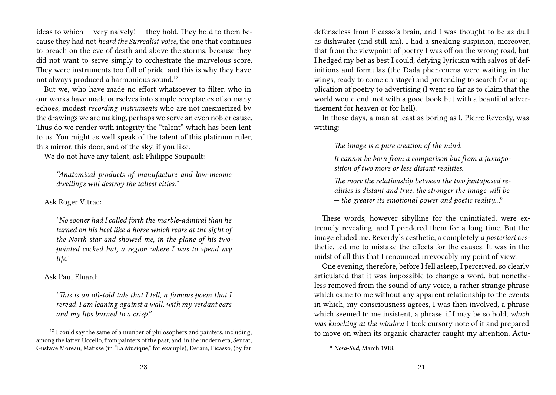ideas to which — very naively! — they hold. They hold to them because they had not *heard the Surrealist voice,* the one that continues to preach on the eve of death and above the storms, because they did not want to serve simply to orchestrate the marvelous score. They were instruments too full of pride, and this is why they have not always produced a harmonious sound.<sup>12</sup>

But we, who have made no effort whatsoever to filter, who in our works have made ourselves into simple receptacles of so many echoes, modest *recording instruments* who are not mesmerized by the drawings we are making, perhaps we serve an even nobler cause. Thus do we render with integrity the "talent" which has been lent to us. You might as well speak of the talent of this platinum ruler, this mirror, this door, and of the sky, if you like.

We do not have any talent; ask Philippe Soupault:

*"Anatomical products of manufacture and low-income dwellings will destroy the tallest cities."*

Ask Roger Vitrac:

*"No sooner had I called forth the marble-admiral than he turned on his heel like a horse which rears at the sight of the North star and showed me, in the plane of his twopointed cocked hat, a region where I was to spend my life."*

Ask Paul Eluard:

*"This is an oft-told tale that I tell, a famous poem that I reread: I am leaning against a wall, with my verdant ears and my lips burned to a crisp."*

defenseless from Picasso's brain, and I was thought to be as dull as dishwater (and still am). I had a sneaking suspicion, moreover, that from the viewpoint of poetry I was off on the wrong road, but I hedged my bet as best I could, defying lyricism with salvos of definitions and formulas (the Dada phenomena were waiting in the wings, ready to come on stage) and pretending to search for an application of poetry to advertising (I went so far as to claim that the world would end, not with a good book but with a beautiful advertisement for heaven or for hell).

In those days, a man at least as boring as I, Pierre Reverdy, was writing:

*The image is a pure creation of the mind.*

*It cannot be born from a comparison but from a juxtaposition of two more or less distant realities.*

*The more the relationship between the two juxtaposed realities is distant and true, the stronger the image will be — the greater its emotional power and poetic reality…*<sup>6</sup>

These words, however sibylline for the uninitiated, were extremely revealing, and I pondered them for a long time. But the image eluded me. Reverdy's aesthetic, a completely *a posteriori* aesthetic, led me to mistake the effects for the causes. It was in the midst of all this that I renounced irrevocably my point of view.

One evening, therefore, before I fell asleep, I perceived, so clearly articulated that it was impossible to change a word, but nonetheless removed from the sound of any voice, a rather strange phrase which came to me without any apparent relationship to the events in which, my consciousness agrees, I was then involved, a phrase which seemed to me insistent, a phrase, if I may be so bold, *which was knocking at the window.* I took cursory note of it and prepared to move on when its organic character caught my attention. Actu-

 $12$  I could say the same of a number of philosophers and painters, including, among the latter, Uccello, from painters of the past, and, in the modern era, Seurat, Gustave Moreau, Matisse (in "La Musique," for example), Derain, Picasso, (by far

<sup>6</sup> *Nord-Sud,* March 1918.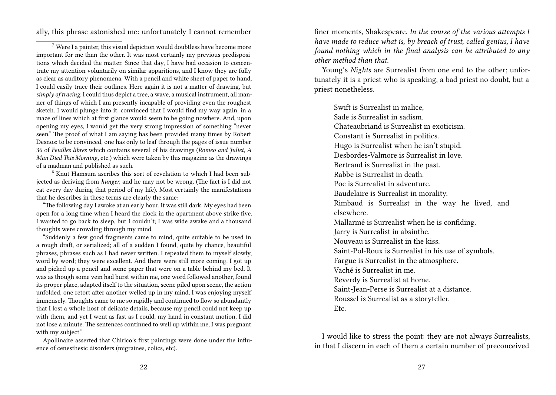ally, this phrase astonished me: unfortunately I cannot remember

 $7$  Were I a painter, this visual depiction would doubtless have become more important for me than the other. It was most certainly my previous predispositions which decided the matter. Since that day, I have had occasion to concentrate my attention voluntarily on similar apparitions, and I know they are fully as clear as auditory phenomena. With a pencil and white sheet of paper to hand, I could easily trace their outlines. Here again it is not a matter of drawing, but *simply of tracing.* I could thus depict a tree, a wave, a musical instrument, all manner of things of which I am presently incapable of providing even the roughest sketch. I would plunge into it, convinced that I would find my way again, in a maze of lines which at first glance would seem to be going nowhere. And, upon opening my eyes, I would get the very strong impression of something "never seen." The proof of what I am saying has been provided many times by Robert Desnos: to be convinced, one has only to leaf through the pages of issue number 36 of *Feuilles libres* which contains several of his drawings (*Romeo and Juliet, A Man Died This Morning,* etc.) which were taken by this magazine as the drawings of a madman and published as such.

<sup>8</sup> Knut Hamsum ascribes this sort of revelation to which I had been subjected as deriving from *hunger,* and he may not be wrong. (The fact is I did not eat every day during that period of my life). Most certainly the manifestations that he describes in these terms are clearly the same:

"The following day I awoke at an early hour. It was still dark. My eyes had been open for a long time when I heard the clock in the apartment above strike five. I wanted to go back to sleep, but I couldn't; I was wide awake and a thousand thoughts were crowding through my mind.

"Suddenly a few good fragments came to mind, quite suitable to be used in a rough draft, or serialized; all of a sudden I found, quite by chance, beautiful phrases, phrases such as I had never written. I repeated them to myself slowly, word by word; they were excellent. And there were still more coming. I got up and picked up a pencil and some paper that were on a table behind my bed. It was as though some vein had burst within me, one word followed another, found its proper place, adapted itself to the situation, scene piled upon scene, the action unfolded, one retort after another welled up in my mind, I was enjoying myself immensely. Thoughts came to me so rapidly and continued to flow so abundantly that I lost a whole host of delicate details, because my pencil could not keep up with them, and yet I went as fast as I could, my hand in constant motion, I did not lose a minute. The sentences continued to well up within me, I was pregnant with my subject."

Apollinaire asserted that Chirico's first paintings were done under the influence of cenesthesic disorders (migraines, colics, etc).

finer moments, Shakespeare. *In the course of the various attempts I have made to reduce what is, by breach of trust, called genius, I have found nothing which in the final analysis can be attributed to any other method than that.*

Young's *Nights* are Surrealist from one end to the other; unfortunately it is a priest who is speaking, a bad priest no doubt, but a priest nonetheless.

Swift is Surrealist in malice, Sade is Surrealist in sadism. Chateaubriand is Surrealist in exoticism. Constant is Surrealist in politics. Hugo is Surrealist when he isn't stupid. Desbordes-Valmore is Surrealist in love. Bertrand is Surrealist in the past. Rabbe is Surrealist in death. Poe is Surrealist in adventure. Baudelaire is Surrealist in morality. Rimbaud is Surrealist in the way he lived, and elsewhere. Mallarmé is Surrealist when he is confiding. Jarry is Surrealist in absinthe. Nouveau is Surrealist in the kiss. Saint-Pol-Roux is Surrealist in his use of symbols. Fargue is Surrealist in the atmosphere. Vaché is Surrealist in me. Reverdy is Surrealist at home. Saint-Jean-Perse is Surrealist at a distance. Roussel is Surrealist as a storyteller. Etc.

I would like to stress the point: they are not always Surrealists, in that I discern in each of them a certain number of preconceived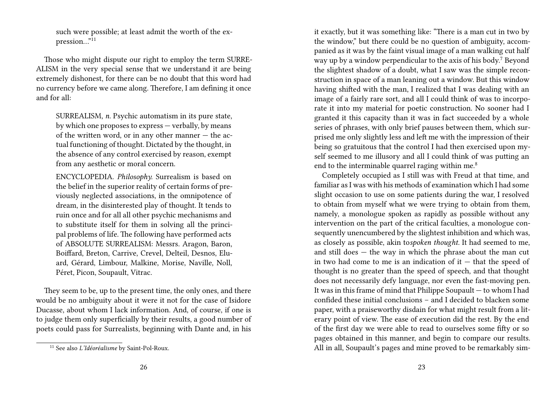such were possible; at least admit the worth of the expression…"<sup>11</sup>

Those who might dispute our right to employ the term SURRE-ALISM in the very special sense that we understand it are being extremely dishonest, for there can be no doubt that this word had no currency before we came along. Therefore, I am defining it once and for all:

SURREALISM, *n.* Psychic automatism in its pure state, by which one proposes to express — verbally, by means of the written word, or in any other manner — the actual functioning of thought. Dictated by the thought, in the absence of any control exercised by reason, exempt from any aesthetic or moral concern.

ENCYCLOPEDIA. *Philosophy.* Surrealism is based on the belief in the superior reality of certain forms of previously neglected associations, in the omnipotence of dream, in the disinterested play of thought. It tends to ruin once and for all all other psychic mechanisms and to substitute itself for them in solving all the principal problems of life. The following have performed acts of ABSOLUTE SURREALISM: Messrs. Aragon, Baron, Boiffard, Breton, Carrive, Crevel, Delteil, Desnos, Eluard, Gérard, Limbour, Malkine, Morise, Naville, Noll, Péret, Picon, Soupault, Vitrac.

They seem to be, up to the present time, the only ones, and there would be no ambiguity about it were it not for the case of Isidore Ducasse, about whom I lack information. And, of course, if one is to judge them only superficially by their results, a good number of poets could pass for Surrealists, beginning with Dante and, in his

it exactly, but it was something like: "There is a man cut in two by the window," but there could be no question of ambiguity, accompanied as it was by the faint visual image of a man walking cut half way up by a window perpendicular to the axis of his body.<sup>7</sup> Beyond the slightest shadow of a doubt, what I saw was the simple reconstruction in space of a man leaning out a window. But this window having shifted with the man, I realized that I was dealing with an image of a fairly rare sort, and all I could think of was to incorporate it into my material for poetic construction. No sooner had I granted it this capacity than it was in fact succeeded by a whole series of phrases, with only brief pauses between them, which surprised me only slightly less and left me with the impression of their being so gratuitous that the control I had then exercised upon myself seemed to me illusory and all I could think of was putting an end to the interminable quarrel raging within me.<sup>8</sup>

Completely occupied as I still was with Freud at that time, and familiar as I was with his methods of examination which I had some slight occasion to use on some patients during the war, I resolved to obtain from myself what we were trying to obtain from them, namely, a monologue spoken as rapidly as possible without any intervention on the part of the critical faculties, a monologue consequently unencumbered by the slightest inhibition and which was, as closely as possible, akin to*spoken thought.* It had seemed to me, and still does — the way in which the phrase about the man cut in two had come to me is an indication of it  $-$  that the speed of thought is no greater than the speed of speech, and that thought does not necessarily defy language, nor even the fast-moving pen. It was in this frame of mind that Philippe Soupault — to whom I had confided these initial conclusions – and I decided to blacken some paper, with a praiseworthy disdain for what might result from a literary point of view. The ease of execution did the rest. By the end of the first day we were able to read to ourselves some fifty or so pages obtained in this manner, and begin to compare our results. All in all, Soupault's pages and mine proved to be remarkably sim-

<sup>11</sup> See also *L'Idéoréalisme* by Saint-Pol-Roux.